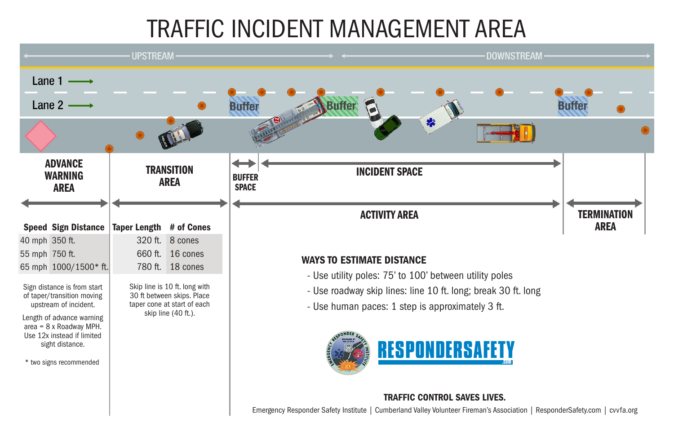# TRAFFIC INCIDENT MANAGEMENT AREA